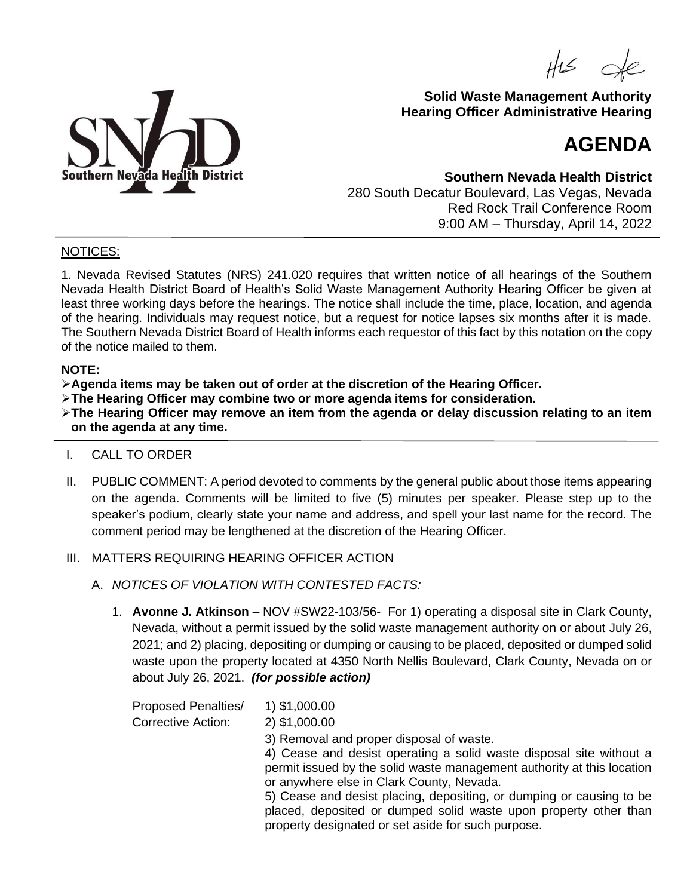$H<sub>2</sub>$ 



## **Solid Waste Management Authority Hearing Officer Administrative Hearing**

# **AGENDA**

**Southern Nevada Health District** 280 South Decatur Boulevard, Las Vegas, Nevada Red Rock Trail Conference Room 9:00 AM – Thursday, April 14, 2022

### NOTICES:

1. Nevada Revised Statutes (NRS) 241.020 requires that written notice of all hearings of the Southern Nevada Health District Board of Health's Solid Waste Management Authority Hearing Officer be given at least three working days before the hearings. The notice shall include the time, place, location, and agenda of the hearing. Individuals may request notice, but a request for notice lapses six months after it is made. The Southern Nevada District Board of Health informs each requestor of this fact by this notation on the copy of the notice mailed to them.

#### **NOTE:**

- ➢**Agenda items may be taken out of order at the discretion of the Hearing Officer.**
- ➢**The Hearing Officer may combine two or more agenda items for consideration.**

➢**The Hearing Officer may remove an item from the agenda or delay discussion relating to an item on the agenda at any time.**

## I. CALL TO ORDER

II. PUBLIC COMMENT: A period devoted to comments by the general public about those items appearing on the agenda. Comments will be limited to five (5) minutes per speaker. Please step up to the speaker's podium, clearly state your name and address, and spell your last name for the record. The comment period may be lengthened at the discretion of the Hearing Officer.

#### III. MATTERS REQUIRING HEARING OFFICER ACTION

- A. *NOTICES OF VIOLATION WITH CONTESTED FACTS:*
	- 1. **Avonne J. Atkinson**  NOV #SW22-103/56- For 1) operating a disposal site in Clark County, Nevada, without a permit issued by the solid waste management authority on or about July 26, 2021; and 2) placing, depositing or dumping or causing to be placed, deposited or dumped solid waste upon the property located at 4350 North Nellis Boulevard, Clark County, Nevada on or about July 26, 2021. *(for possible action)*

| <b>Proposed Penalties/</b> | 1) \$1,000.00                                                                                                                                                                                  |
|----------------------------|------------------------------------------------------------------------------------------------------------------------------------------------------------------------------------------------|
| <b>Corrective Action:</b>  | 2) \$1,000.00                                                                                                                                                                                  |
|                            | 3) Removal and proper disposal of waste.                                                                                                                                                       |
|                            | 4) Cease and desist operating a solid waste disposal site without a<br>permit issued by the solid waste management authority at this location<br>or anywhere else in Clark County, Nevada.     |
|                            | 5) Cease and desist placing, depositing, or dumping or causing to be<br>placed, deposited or dumped solid waste upon property other than<br>property designated or set aside for such purpose. |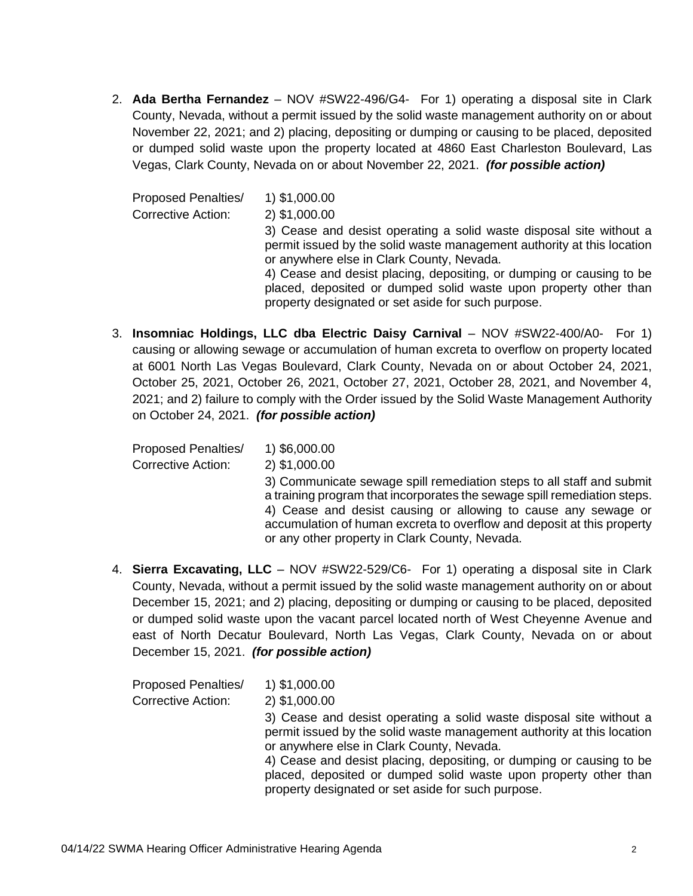2. **Ada Bertha Fernandez** – NOV #SW22-496/G4- For 1) operating a disposal site in Clark County, Nevada, without a permit issued by the solid waste management authority on or about November 22, 2021; and 2) placing, depositing or dumping or causing to be placed, deposited or dumped solid waste upon the property located at 4860 East Charleston Boulevard, Las Vegas, Clark County, Nevada on or about November 22, 2021. *(for possible action)*

Proposed Penalties/ 1) \$1,000.00 Corrective Action: 2) \$1,000.00 3) Cease and desist operating a solid waste disposal site without a permit issued by the solid waste management authority at this location or anywhere else in Clark County, Nevada. 4) Cease and desist placing, depositing, or dumping or causing to be placed, deposited or dumped solid waste upon property other than property designated or set aside for such purpose.

3. **Insomniac Holdings, LLC dba Electric Daisy Carnival** – NOV #SW22-400/A0- For 1) causing or allowing sewage or accumulation of human excreta to overflow on property located at 6001 North Las Vegas Boulevard, Clark County, Nevada on or about October 24, 2021, October 25, 2021, October 26, 2021, October 27, 2021, October 28, 2021, and November 4, 2021; and 2) failure to comply with the Order issued by the Solid Waste Management Authority on October 24, 2021. *(for possible action)*

Proposed Penalties/ 1) \$6,000.00 Corrective Action: 2) \$1,000.00 3) Communicate sewage spill remediation steps to all staff and submit a training program that incorporates the sewage spill remediation steps. 4) Cease and desist causing or allowing to cause any sewage or accumulation of human excreta to overflow and deposit at this property or any other property in Clark County, Nevada.

4. **Sierra Excavating, LLC** – NOV #SW22-529/C6- For 1) operating a disposal site in Clark County, Nevada, without a permit issued by the solid waste management authority on or about December 15, 2021; and 2) placing, depositing or dumping or causing to be placed, deposited or dumped solid waste upon the vacant parcel located north of West Cheyenne Avenue and east of North Decatur Boulevard, North Las Vegas, Clark County, Nevada on or about December 15, 2021. *(for possible action)*

| <b>Proposed Penalties/</b> | 1) \$1,000.00                                                                                                                                                                                  |
|----------------------------|------------------------------------------------------------------------------------------------------------------------------------------------------------------------------------------------|
| <b>Corrective Action:</b>  | 2) \$1,000.00                                                                                                                                                                                  |
|                            | 3) Cease and desist operating a solid waste disposal site without a<br>permit issued by the solid waste management authority at this location<br>or anywhere else in Clark County, Nevada.     |
|                            | 4) Cease and desist placing, depositing, or dumping or causing to be<br>placed, deposited or dumped solid waste upon property other than<br>property designated or set aside for such purpose. |